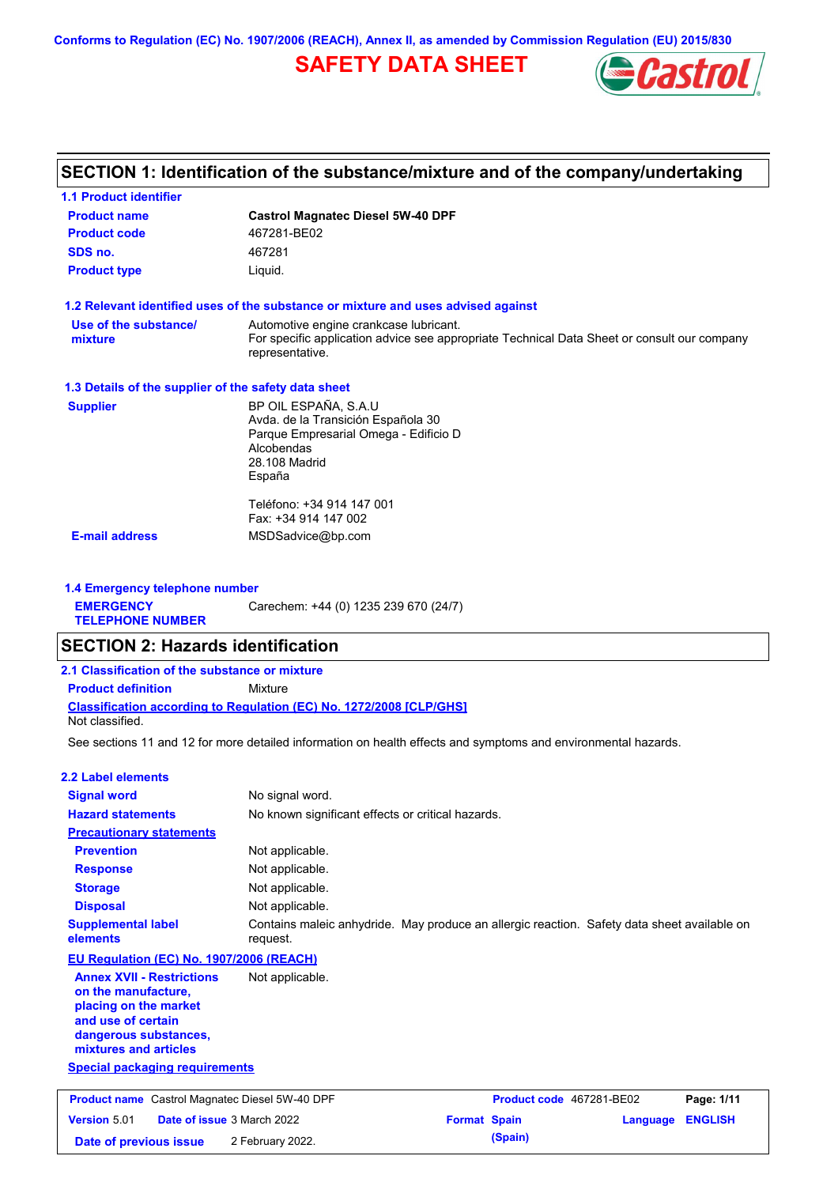**Conforms to Regulation (EC) No. 1907/2006 (REACH), Annex II, as amended by Commission Regulation (EU) 2015/830**

## **SAFETY DATA SHEET**



## **SECTION 1: Identification of the substance/mixture and of the company/undertaking**

| <b>1.1 Product identifier</b>                        |                                                                                                                |
|------------------------------------------------------|----------------------------------------------------------------------------------------------------------------|
| <b>Product name</b>                                  | <b>Castrol Magnatec Diesel 5W-40 DPF</b>                                                                       |
| <b>Product code</b>                                  | 467281-BE02                                                                                                    |
| SDS no.                                              | 467281                                                                                                         |
| <b>Product type</b>                                  | Liquid.                                                                                                        |
|                                                      | 1.2 Relevant identified uses of the substance or mixture and uses advised against                              |
| Use of the substance/                                | Automotive engine crankcase lubricant.                                                                         |
| mixture                                              | For specific application advice see appropriate Technical Data Sheet or consult our company<br>representative. |
| 1.3 Details of the supplier of the safety data sheet |                                                                                                                |
| <b>Supplier</b>                                      | BP OIL ESPAÑA, S.A.U                                                                                           |
|                                                      | Avda. de la Transición Española 30                                                                             |
|                                                      | Parque Empresarial Omega - Edificio D<br>Alcobendas                                                            |
|                                                      | 28.108 Madrid                                                                                                  |
|                                                      | España                                                                                                         |
|                                                      | Teléfono: +34 914 147 001                                                                                      |
|                                                      | Fax: +34 914 147 002                                                                                           |
| <b>E-mail address</b>                                | MSDSadvice@bp.com                                                                                              |
|                                                      |                                                                                                                |
|                                                      |                                                                                                                |

**1.4 Emergency telephone number EMERGENCY TELEPHONE NUMBER** Carechem: +44 (0) 1235 239 670 (24/7)

### **SECTION 2: Hazards identification**

| 2.1 Classification of the substance or mixture |                                                                            |  |  |  |  |
|------------------------------------------------|----------------------------------------------------------------------------|--|--|--|--|
| <b>Product definition</b><br>Mixture           |                                                                            |  |  |  |  |
| Not classified.                                | <b>Classification according to Regulation (EC) No. 1272/2008 [CLP/GHS]</b> |  |  |  |  |

See sections 11 and 12 for more detailed information on health effects and symptoms and environmental hazards.

| <b>2.2 Label elements</b>                                                                                                                                |                                                                                                         |                            |
|----------------------------------------------------------------------------------------------------------------------------------------------------------|---------------------------------------------------------------------------------------------------------|----------------------------|
| <b>Signal word</b>                                                                                                                                       | No signal word.                                                                                         |                            |
| <b>Hazard statements</b>                                                                                                                                 | No known significant effects or critical hazards.                                                       |                            |
| <b>Precautionary statements</b>                                                                                                                          |                                                                                                         |                            |
| <b>Prevention</b>                                                                                                                                        | Not applicable.                                                                                         |                            |
| <b>Response</b>                                                                                                                                          | Not applicable.                                                                                         |                            |
| <b>Storage</b>                                                                                                                                           | Not applicable.                                                                                         |                            |
| <b>Disposal</b>                                                                                                                                          | Not applicable.                                                                                         |                            |
| <b>Supplemental label</b><br>elements                                                                                                                    | Contains maleic anhydride. May produce an allergic reaction. Safety data sheet available on<br>request. |                            |
| EU Regulation (EC) No. 1907/2006 (REACH)                                                                                                                 |                                                                                                         |                            |
| <b>Annex XVII - Restrictions</b><br>on the manufacture,<br>placing on the market<br>and use of certain<br>dangerous substances,<br>mixtures and articles | Not applicable.                                                                                         |                            |
| <b>Special packaging requirements</b>                                                                                                                    |                                                                                                         |                            |
|                                                                                                                                                          |                                                                                                         |                            |
| <b>Product name</b> Castrol Magnatec Diesel 5W-40 DPF                                                                                                    | Product code 467281-BE02                                                                                | Page: 1/11                 |
| Version 5.01                                                                                                                                             | Date of issue 3 March 2022<br><b>Format Spain</b>                                                       | <b>ENGLISH</b><br>Language |
| Date of previous issue                                                                                                                                   | (Spain)<br>2 February 2022.                                                                             |                            |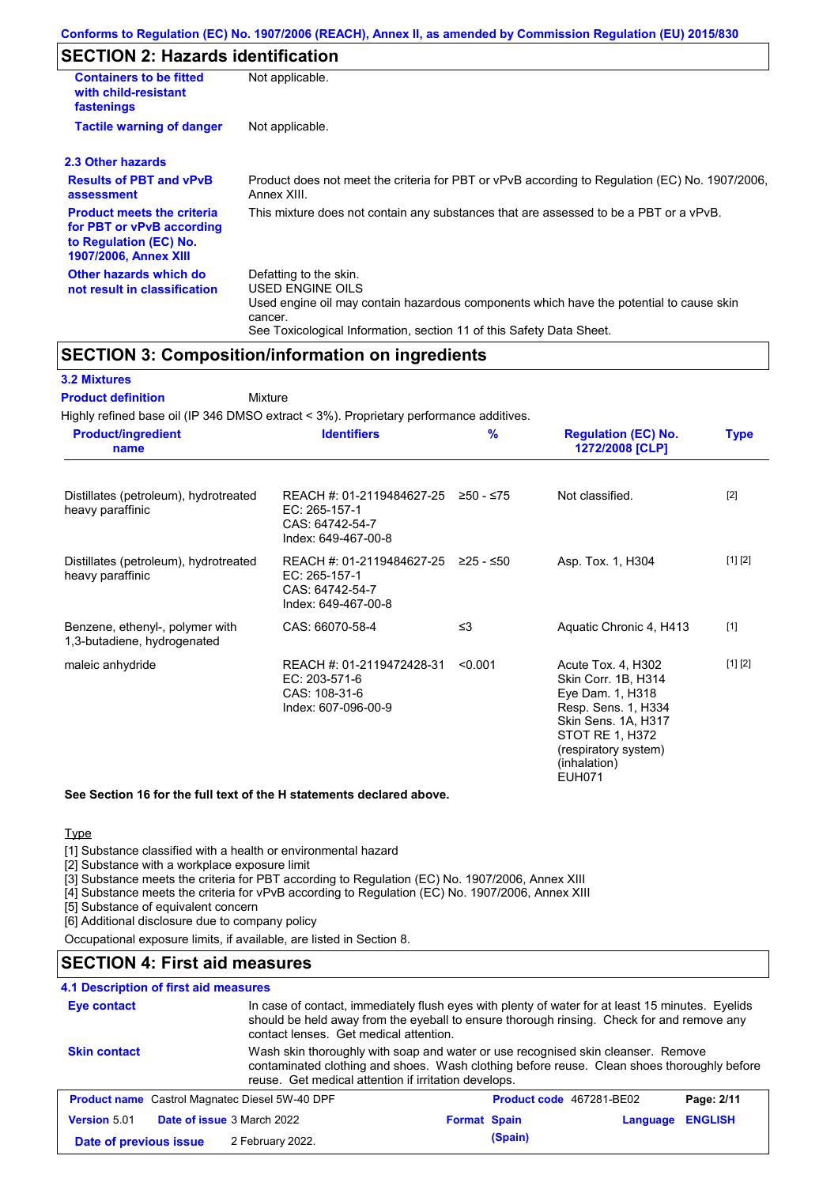## **SECTION 2: Hazards identification**

| <b>Containers to be fitted</b><br>with child-resistant<br>fastenings                                                     | Not applicable.                                                                                                                                                                                                          |
|--------------------------------------------------------------------------------------------------------------------------|--------------------------------------------------------------------------------------------------------------------------------------------------------------------------------------------------------------------------|
| <b>Tactile warning of danger</b>                                                                                         | Not applicable.                                                                                                                                                                                                          |
| 2.3 Other hazards                                                                                                        |                                                                                                                                                                                                                          |
| <b>Results of PBT and vPvB</b><br>assessment                                                                             | Product does not meet the criteria for PBT or vPvB according to Regulation (EC) No. 1907/2006,<br>Annex XIII.                                                                                                            |
| <b>Product meets the criteria</b><br>for PBT or vPvB according<br>to Regulation (EC) No.<br><b>1907/2006, Annex XIII</b> | This mixture does not contain any substances that are assessed to be a PBT or a vPvB.                                                                                                                                    |
| Other hazards which do<br>not result in classification                                                                   | Defatting to the skin.<br>USED ENGINE OILS<br>Used engine oil may contain hazardous components which have the potential to cause skin<br>cancer.<br>See Toxicological Information, section 11 of this Safety Data Sheet. |

### **SECTION 3: Composition/information on ingredients**

### **3.2 Mixtures**

**Mixture Product definition**

Highly refined base oil (IP 346 DMSO extract < 3%). Proprietary performance additives.

| <b>Product/ingredient</b><br>name                              | <b>Identifiers</b>                                                                             | $\frac{9}{6}$ | <b>Regulation (EC) No.</b><br>1272/2008 [CLP]                                                                                                                                           | <b>Type</b> |
|----------------------------------------------------------------|------------------------------------------------------------------------------------------------|---------------|-----------------------------------------------------------------------------------------------------------------------------------------------------------------------------------------|-------------|
| Distillates (petroleum), hydrotreated<br>heavy paraffinic      | REACH #: 01-2119484627-25<br>EC: 265-157-1<br>CAS: 64742-54-7<br>Index: 649-467-00-8           | ≥50 - ≤75     | Not classified.                                                                                                                                                                         | $[2]$       |
| Distillates (petroleum), hydrotreated<br>heavy paraffinic      | REACH #: 01-2119484627-25 ≥25 - ≤50<br>EC: 265-157-1<br>CAS: 64742-54-7<br>Index: 649-467-00-8 |               | Asp. Tox. 1, H304                                                                                                                                                                       | [1] [2]     |
| Benzene, ethenyl-, polymer with<br>1,3-butadiene, hydrogenated | CAS: 66070-58-4                                                                                | $\leq$ 3      | Aquatic Chronic 4, H413                                                                                                                                                                 | $[1]$       |
| maleic anhydride                                               | REACH #: 01-2119472428-31<br>EC: 203-571-6<br>CAS: 108-31-6<br>Index: 607-096-00-9             | < 0.001       | Acute Tox. 4, H302<br>Skin Corr. 1B, H314<br>Eye Dam. 1, H318<br>Resp. Sens. 1, H334<br>Skin Sens. 1A, H317<br>STOT RE 1, H372<br>(respiratory system)<br>(inhalation)<br><b>EUH071</b> | [1] [2]     |

#### **See Section 16 for the full text of the H statements declared above.**

**Type** 

[1] Substance classified with a health or environmental hazard

[2] Substance with a workplace exposure limit

[3] Substance meets the criteria for PBT according to Regulation (EC) No. 1907/2006, Annex XIII

[4] Substance meets the criteria for vPvB according to Regulation (EC) No. 1907/2006, Annex XIII

[5] Substance of equivalent concern

[6] Additional disclosure due to company policy

Occupational exposure limits, if available, are listed in Section 8.

### **SECTION 4: First aid measures**

### **4.1 Description of first aid measures**

| Eye contact                                                                       | In case of contact, immediately flush eyes with plenty of water for at least 15 minutes. Eyelids<br>should be held away from the eyeball to ensure thorough rinsing. Check for and remove any<br>contact lenses. Get medical attention. |                     |         |            |                |
|-----------------------------------------------------------------------------------|-----------------------------------------------------------------------------------------------------------------------------------------------------------------------------------------------------------------------------------------|---------------------|---------|------------|----------------|
| <b>Skin contact</b>                                                               | Wash skin thoroughly with soap and water or use recognised skin cleanser. Remove<br>contaminated clothing and shoes. Wash clothing before reuse. Clean shoes thoroughly before<br>reuse. Get medical attention if irritation develops.  |                     |         |            |                |
| <b>Product name</b> Castrol Magnatec Diesel 5W-40 DPF<br>Product code 467281-BE02 |                                                                                                                                                                                                                                         |                     |         | Page: 2/11 |                |
| <b>Date of issue 3 March 2022</b><br><b>Version 5.01</b>                          |                                                                                                                                                                                                                                         | <b>Format Spain</b> |         | Language   | <b>ENGLISH</b> |
| Date of previous issue                                                            | 2 February 2022.                                                                                                                                                                                                                        |                     | (Spain) |            |                |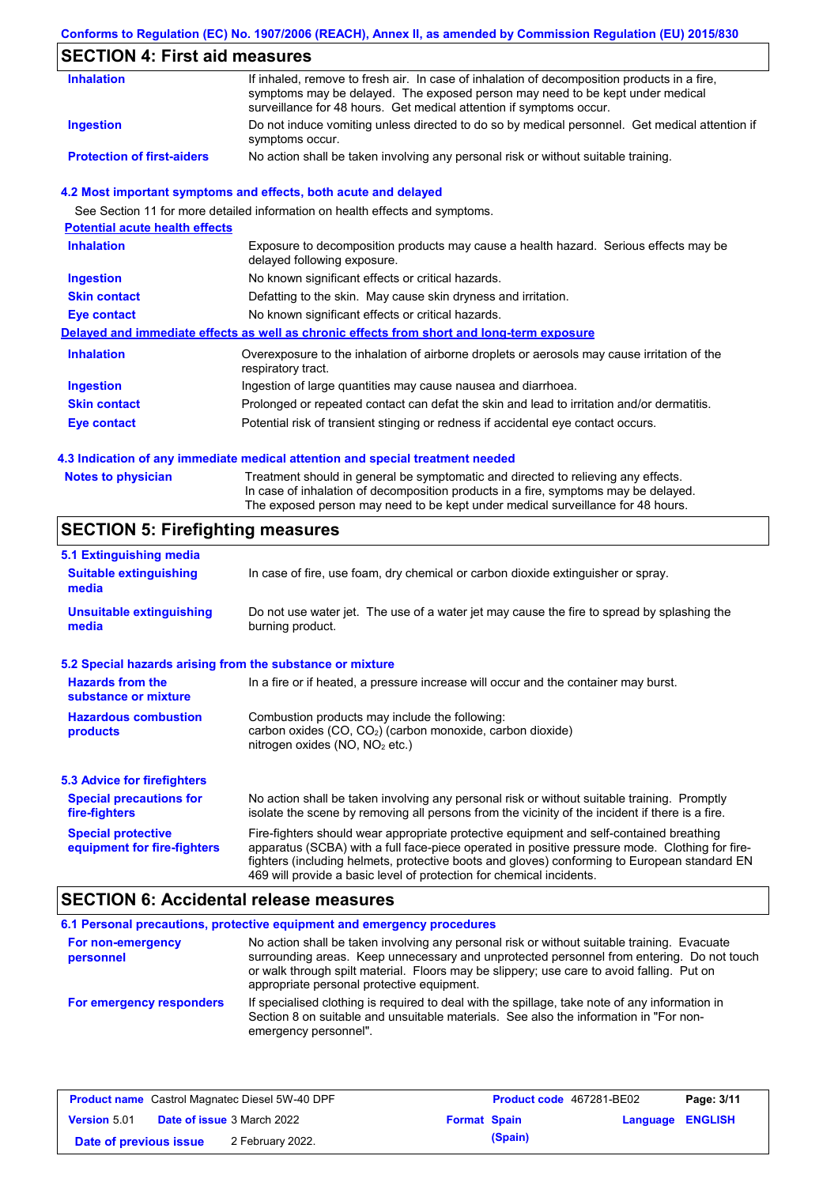### **Conforms to Regulation (EC) No. 1907/2006 (REACH), Annex II, as amended by Commission Regulation (EU) 2015/830**

## **SECTION 4: First aid measures**

| <b>Inhalation</b>                 | If inhaled, remove to fresh air. In case of inhalation of decomposition products in a fire,<br>symptoms may be delayed. The exposed person may need to be kept under medical<br>surveillance for 48 hours. Get medical attention if symptoms occur. |
|-----------------------------------|-----------------------------------------------------------------------------------------------------------------------------------------------------------------------------------------------------------------------------------------------------|
| Ingestion                         | Do not induce vomiting unless directed to do so by medical personnel. Get medical attention if<br>symptoms occur.                                                                                                                                   |
| <b>Protection of first-aiders</b> | No action shall be taken involving any personal risk or without suitable training.                                                                                                                                                                  |

#### **4.2 Most important symptoms and effects, both acute and delayed**

|                                       | See Section 11 for more detailed information on health effects and symptoms.                                        |
|---------------------------------------|---------------------------------------------------------------------------------------------------------------------|
| <b>Potential acute health effects</b> |                                                                                                                     |
| <b>Inhalation</b>                     | Exposure to decomposition products may cause a health hazard. Serious effects may be<br>delayed following exposure. |
| <b>Ingestion</b>                      | No known significant effects or critical hazards.                                                                   |
| <b>Skin contact</b>                   | Defatting to the skin. May cause skin dryness and irritation.                                                       |
| Eye contact                           | No known significant effects or critical hazards.                                                                   |
|                                       | Delayed and immediate effects as well as chronic effects from short and long-term exposure                          |
| <b>Inhalation</b>                     | Overexposure to the inhalation of airborne droplets or aerosols may cause irritation of the<br>respiratory tract.   |
| <b>Ingestion</b>                      | Ingestion of large quantities may cause nausea and diarrhoea.                                                       |
| <b>Skin contact</b>                   | Prolonged or repeated contact can defat the skin and lead to irritation and/or dermatitis.                          |
| Eye contact                           | Potential risk of transient stinging or redness if accidental eye contact occurs.                                   |

#### **4.3 Indication of any immediate medical attention and special treatment needed**

| <b>Notes to physician</b> | Treatment should in general be symptomatic and directed to relieving any effects.<br>In case of inhalation of decomposition products in a fire, symptoms may be delayed. |
|---------------------------|--------------------------------------------------------------------------------------------------------------------------------------------------------------------------|
|                           | The exposed person may need to be kept under medical surveillance for 48 hours.                                                                                          |

## **SECTION 5: Firefighting measures**

| 5.1 Extinguishing media                                   |                                                                                                                                                                                                                                                                                                                                                                   |
|-----------------------------------------------------------|-------------------------------------------------------------------------------------------------------------------------------------------------------------------------------------------------------------------------------------------------------------------------------------------------------------------------------------------------------------------|
| <b>Suitable extinguishing</b><br>media                    | In case of fire, use foam, dry chemical or carbon dioxide extinguisher or spray.                                                                                                                                                                                                                                                                                  |
| <b>Unsuitable extinguishing</b><br>media                  | Do not use water jet. The use of a water jet may cause the fire to spread by splashing the<br>burning product.                                                                                                                                                                                                                                                    |
| 5.2 Special hazards arising from the substance or mixture |                                                                                                                                                                                                                                                                                                                                                                   |
| <b>Hazards from the</b><br>substance or mixture           | In a fire or if heated, a pressure increase will occur and the container may burst.                                                                                                                                                                                                                                                                               |
| <b>Hazardous combustion</b><br>products                   | Combustion products may include the following:<br>carbon oxides $(CO, CO2)$ (carbon monoxide, carbon dioxide)<br>nitrogen oxides ( $NO$ , $NO2$ etc.)                                                                                                                                                                                                             |
| <b>5.3 Advice for firefighters</b>                        |                                                                                                                                                                                                                                                                                                                                                                   |
| <b>Special precautions for</b><br>fire-fighters           | No action shall be taken involving any personal risk or without suitable training. Promptly<br>isolate the scene by removing all persons from the vicinity of the incident if there is a fire.                                                                                                                                                                    |
| <b>Special protective</b><br>equipment for fire-fighters  | Fire-fighters should wear appropriate protective equipment and self-contained breathing<br>apparatus (SCBA) with a full face-piece operated in positive pressure mode. Clothing for fire-<br>fighters (including helmets, protective boots and gloves) conforming to European standard EN<br>469 will provide a basic level of protection for chemical incidents. |

## **SECTION 6: Accidental release measures**

|                                | 6.1 Personal precautions, protective equipment and emergency procedures                                                                                                                                                                                                                                                             |
|--------------------------------|-------------------------------------------------------------------------------------------------------------------------------------------------------------------------------------------------------------------------------------------------------------------------------------------------------------------------------------|
| For non-emergency<br>personnel | No action shall be taken involving any personal risk or without suitable training. Evacuate<br>surrounding areas. Keep unnecessary and unprotected personnel from entering. Do not touch<br>or walk through spilt material. Floors may be slippery; use care to avoid falling. Put on<br>appropriate personal protective equipment. |
| For emergency responders       | If specialised clothing is required to deal with the spillage, take note of any information in<br>Section 8 on suitable and unsuitable materials. See also the information in "For non-<br>emergency personnel".                                                                                                                    |

| <b>Product name</b> Castrol Magnatec Diesel 5W-40 DPF |  | <b>Product code</b> 467281-BE02   |                     | Page: 3/11 |                  |  |
|-------------------------------------------------------|--|-----------------------------------|---------------------|------------|------------------|--|
| <b>Version 5.01</b>                                   |  | <b>Date of issue 3 March 2022</b> | <b>Format Spain</b> |            | Language ENGLISH |  |
| Date of previous issue                                |  | 2 February 2022.                  |                     | (Spain)    |                  |  |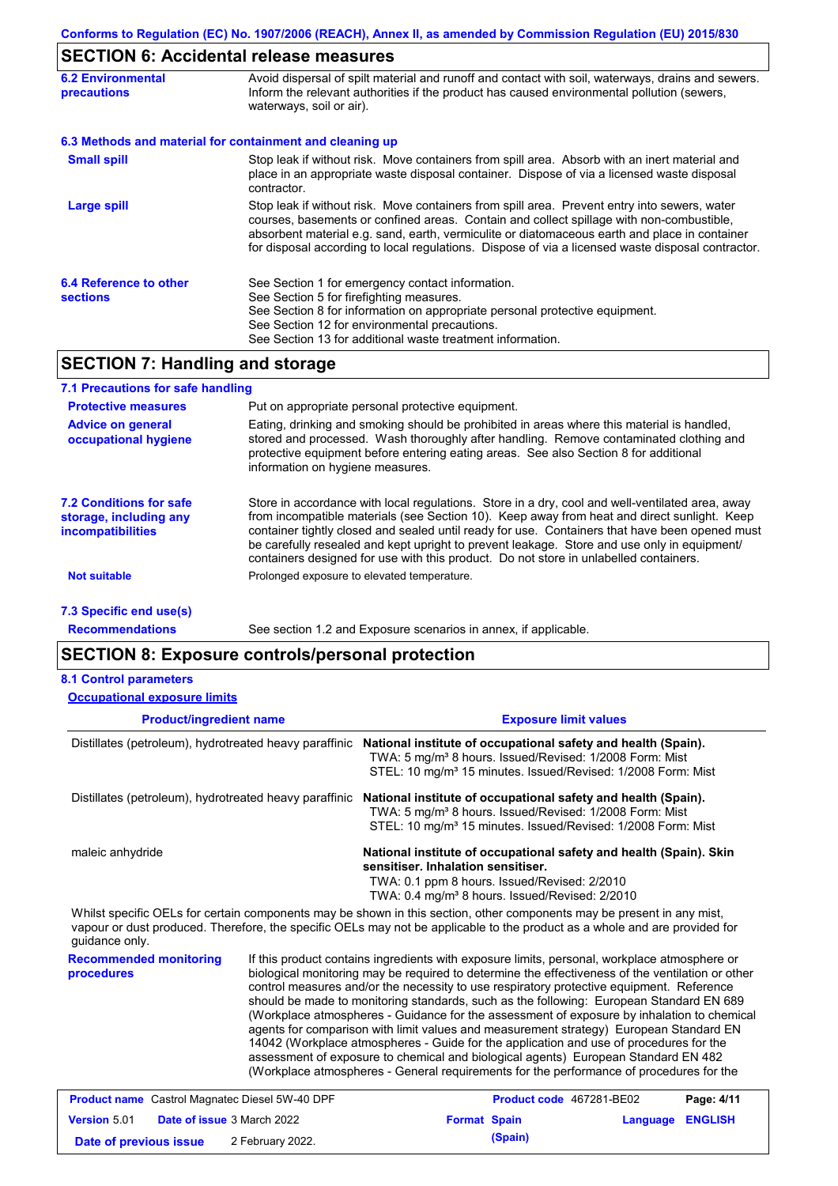## **SECTION 6: Accidental release measures**

| <b>6.2 Environmental</b><br>precautions   | Avoid dispersal of spilt material and runoff and contact with soil, waterways, drains and sewers.<br>Inform the relevant authorities if the product has caused environmental pollution (sewers,<br>waterways, soil or air).                                                                                                                                                                    |
|-------------------------------------------|------------------------------------------------------------------------------------------------------------------------------------------------------------------------------------------------------------------------------------------------------------------------------------------------------------------------------------------------------------------------------------------------|
|                                           | 6.3 Methods and material for containment and cleaning up                                                                                                                                                                                                                                                                                                                                       |
| <b>Small spill</b>                        | Stop leak if without risk. Move containers from spill area. Absorb with an inert material and<br>place in an appropriate waste disposal container. Dispose of via a licensed waste disposal<br>contractor.                                                                                                                                                                                     |
| <b>Large spill</b>                        | Stop leak if without risk. Move containers from spill area. Prevent entry into sewers, water<br>courses, basements or confined areas. Contain and collect spillage with non-combustible,<br>absorbent material e.g. sand, earth, vermiculite or diatomaceous earth and place in container<br>for disposal according to local regulations. Dispose of via a licensed waste disposal contractor. |
| 6.4 Reference to other<br><b>sections</b> | See Section 1 for emergency contact information.<br>See Section 5 for firefighting measures.<br>See Section 8 for information on appropriate personal protective equipment.<br>See Section 12 for environmental precautions.<br>See Section 13 for additional waste treatment information.                                                                                                     |

### **SECTION 7: Handling and storage**

| 7.1 Precautions for safe handling                                                    |                                                                                                                                                                                                                                                                                                                                                                                                                                                                                          |
|--------------------------------------------------------------------------------------|------------------------------------------------------------------------------------------------------------------------------------------------------------------------------------------------------------------------------------------------------------------------------------------------------------------------------------------------------------------------------------------------------------------------------------------------------------------------------------------|
| <b>Protective measures</b>                                                           | Put on appropriate personal protective equipment.                                                                                                                                                                                                                                                                                                                                                                                                                                        |
| <b>Advice on general</b><br>occupational hygiene                                     | Eating, drinking and smoking should be prohibited in areas where this material is handled,<br>stored and processed. Wash thoroughly after handling. Remove contaminated clothing and<br>protective equipment before entering eating areas. See also Section 8 for additional<br>information on hygiene measures.                                                                                                                                                                         |
| <b>7.2 Conditions for safe</b><br>storage, including any<br><i>incompatibilities</i> | Store in accordance with local requlations. Store in a dry, cool and well-ventilated area, away<br>from incompatible materials (see Section 10). Keep away from heat and direct sunlight. Keep<br>container tightly closed and sealed until ready for use. Containers that have been opened must<br>be carefully resealed and kept upright to prevent leakage. Store and use only in equipment/<br>containers designed for use with this product. Do not store in unlabelled containers. |
| Not suitable                                                                         | Prolonged exposure to elevated temperature.                                                                                                                                                                                                                                                                                                                                                                                                                                              |
| 7.3 Specific end use(s)                                                              |                                                                                                                                                                                                                                                                                                                                                                                                                                                                                          |

**Recommendations**

See section 1.2 and Exposure scenarios in annex, if applicable.

### **SECTION 8: Exposure controls/personal protection**

| <b>Occupational exposure limits</b>                    |                                                                                                                                                                                                                                                      |
|--------------------------------------------------------|------------------------------------------------------------------------------------------------------------------------------------------------------------------------------------------------------------------------------------------------------|
| <b>Product/ingredient name</b>                         | <b>Exposure limit values</b>                                                                                                                                                                                                                         |
| Distillates (petroleum), hydrotreated heavy paraffinic | National institute of occupational safety and health (Spain).<br>TWA: 5 mg/m <sup>3</sup> 8 hours. Issued/Revised: 1/2008 Form: Mist<br>STEL: 10 mg/m <sup>3</sup> 15 minutes. Issued/Revised: 1/2008 Form: Mist                                     |
| Distillates (petroleum), hydrotreated heavy paraffinic | National institute of occupational safety and health (Spain).<br>TWA: 5 mg/m <sup>3</sup> 8 hours. Issued/Revised: 1/2008 Form: Mist<br>STEL: 10 mg/m <sup>3</sup> 15 minutes. Issued/Revised: 1/2008 Form: Mist                                     |
| maleic anhydride                                       | National institute of occupational safety and health (Spain). Skin<br>sensitiser. Inhalation sensitiser.<br>TWA: 0.1 ppm 8 hours. Issued/Revised: 2/2010<br>TWA: 0.4 mg/m <sup>3</sup> 8 hours. Issued/Revised: 2/2010                               |
| guidance only.                                         | Whilst specific OELs for certain components may be shown in this section, other components may be present in any mist,<br>vapour or dust produced. Therefore, the specific OELs may not be applicable to the product as a whole and are provided for |
| Dogammandad manitaring                                 | If this product contains ingradiants with expecure limits, personal, werkplace atmosphere or                                                                                                                                                         |

#### **Recommended monitoring procedures**

If this product contains ingredients with exposure limits, personal, workplace atmosphere or biological monitoring may be required to determine the effectiveness of the ventilation or other control measures and/or the necessity to use respiratory protective equipment. Reference should be made to monitoring standards, such as the following: European Standard EN 689 (Workplace atmospheres - Guidance for the assessment of exposure by inhalation to chemical agents for comparison with limit values and measurement strategy) European Standard EN 14042 (Workplace atmospheres - Guide for the application and use of procedures for the assessment of exposure to chemical and biological agents) European Standard EN 482 (Workplace atmospheres - General requirements for the performance of procedures for the

|                        | <b>Product name</b> Castrol Magnatec Diesel 5W-40 DPF |                     | <b>Product code</b> 467281-BE02 |                         | Page: 4/11 |
|------------------------|-------------------------------------------------------|---------------------|---------------------------------|-------------------------|------------|
| Version 5.01           | <b>Date of issue 3 March 2022</b>                     | <b>Format Spain</b> |                                 | <b>Language ENGLISH</b> |            |
| Date of previous issue | 2 February 2022.                                      |                     | (Spain)                         |                         |            |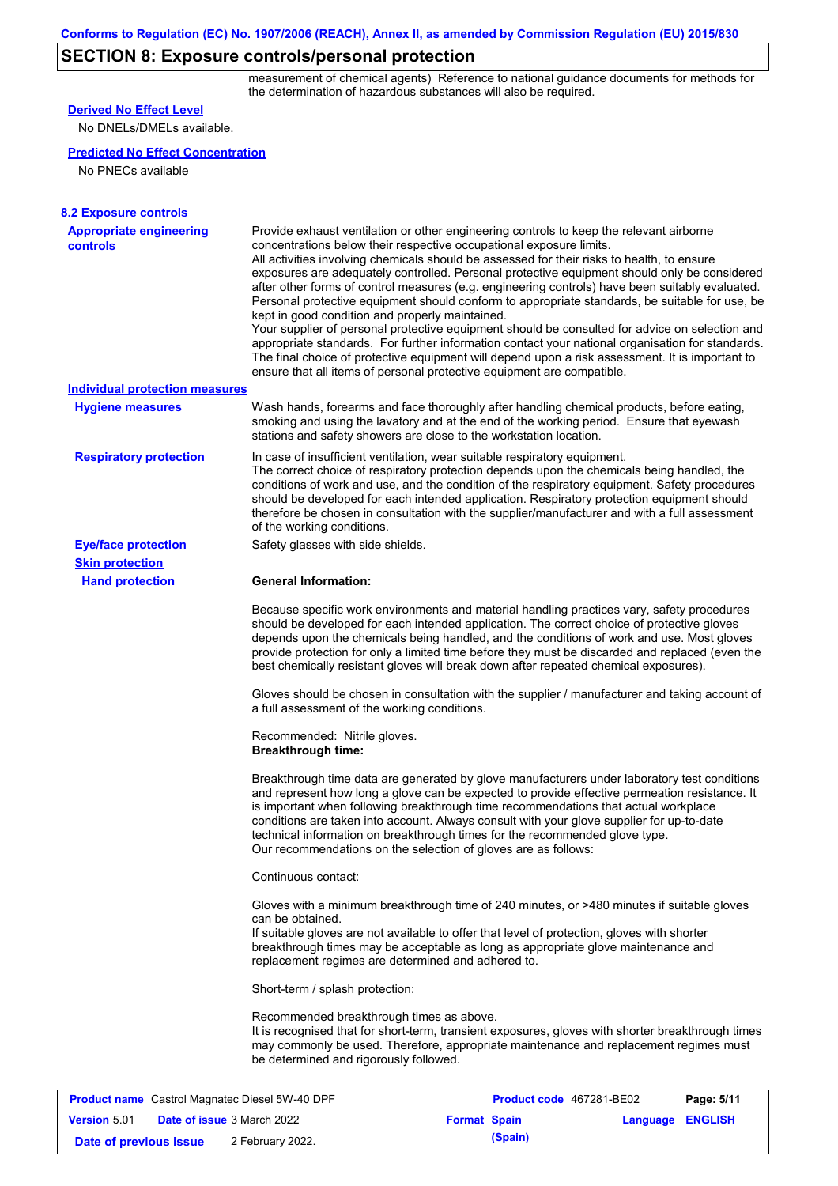# **SECTION 8: Exposure controls/personal protection**

measurement of chemical agents) Reference to national guidance documents for methods for the determination of hazardous substances will also be required.

| <b>Derived No Effect Level</b>                                                                      |                                                                                                                                                                                                                                                                                                                                                                                                                                                                                  |                                                                                                                                                                                                                                                                                                                                                                                                                                                                                                                                                                                                                                                                                                                                                                                                                                                                                                                                                      |                              |  |  |
|-----------------------------------------------------------------------------------------------------|----------------------------------------------------------------------------------------------------------------------------------------------------------------------------------------------------------------------------------------------------------------------------------------------------------------------------------------------------------------------------------------------------------------------------------------------------------------------------------|------------------------------------------------------------------------------------------------------------------------------------------------------------------------------------------------------------------------------------------------------------------------------------------------------------------------------------------------------------------------------------------------------------------------------------------------------------------------------------------------------------------------------------------------------------------------------------------------------------------------------------------------------------------------------------------------------------------------------------------------------------------------------------------------------------------------------------------------------------------------------------------------------------------------------------------------------|------------------------------|--|--|
| No DNELs/DMELs available.                                                                           |                                                                                                                                                                                                                                                                                                                                                                                                                                                                                  |                                                                                                                                                                                                                                                                                                                                                                                                                                                                                                                                                                                                                                                                                                                                                                                                                                                                                                                                                      |                              |  |  |
| <b>Predicted No Effect Concentration</b>                                                            |                                                                                                                                                                                                                                                                                                                                                                                                                                                                                  |                                                                                                                                                                                                                                                                                                                                                                                                                                                                                                                                                                                                                                                                                                                                                                                                                                                                                                                                                      |                              |  |  |
| No PNECs available                                                                                  |                                                                                                                                                                                                                                                                                                                                                                                                                                                                                  |                                                                                                                                                                                                                                                                                                                                                                                                                                                                                                                                                                                                                                                                                                                                                                                                                                                                                                                                                      |                              |  |  |
|                                                                                                     |                                                                                                                                                                                                                                                                                                                                                                                                                                                                                  |                                                                                                                                                                                                                                                                                                                                                                                                                                                                                                                                                                                                                                                                                                                                                                                                                                                                                                                                                      |                              |  |  |
| <b>8.2 Exposure controls</b>                                                                        |                                                                                                                                                                                                                                                                                                                                                                                                                                                                                  |                                                                                                                                                                                                                                                                                                                                                                                                                                                                                                                                                                                                                                                                                                                                                                                                                                                                                                                                                      |                              |  |  |
| <b>Appropriate engineering</b><br><b>controls</b>                                                   | kept in good condition and properly maintained.                                                                                                                                                                                                                                                                                                                                                                                                                                  | Provide exhaust ventilation or other engineering controls to keep the relevant airborne<br>concentrations below their respective occupational exposure limits.<br>All activities involving chemicals should be assessed for their risks to health, to ensure<br>exposures are adequately controlled. Personal protective equipment should only be considered<br>after other forms of control measures (e.g. engineering controls) have been suitably evaluated.<br>Personal protective equipment should conform to appropriate standards, be suitable for use, be<br>Your supplier of personal protective equipment should be consulted for advice on selection and<br>appropriate standards. For further information contact your national organisation for standards.<br>The final choice of protective equipment will depend upon a risk assessment. It is important to<br>ensure that all items of personal protective equipment are compatible. |                              |  |  |
| <b>Individual protection measures</b>                                                               |                                                                                                                                                                                                                                                                                                                                                                                                                                                                                  |                                                                                                                                                                                                                                                                                                                                                                                                                                                                                                                                                                                                                                                                                                                                                                                                                                                                                                                                                      |                              |  |  |
| <b>Hygiene measures</b>                                                                             |                                                                                                                                                                                                                                                                                                                                                                                                                                                                                  | Wash hands, forearms and face thoroughly after handling chemical products, before eating,<br>smoking and using the lavatory and at the end of the working period. Ensure that eyewash<br>stations and safety showers are close to the workstation location.                                                                                                                                                                                                                                                                                                                                                                                                                                                                                                                                                                                                                                                                                          |                              |  |  |
| <b>Respiratory protection</b>                                                                       | of the working conditions.                                                                                                                                                                                                                                                                                                                                                                                                                                                       | In case of insufficient ventilation, wear suitable respiratory equipment.<br>The correct choice of respiratory protection depends upon the chemicals being handled, the<br>conditions of work and use, and the condition of the respiratory equipment. Safety procedures<br>should be developed for each intended application. Respiratory protection equipment should<br>therefore be chosen in consultation with the supplier/manufacturer and with a full assessment                                                                                                                                                                                                                                                                                                                                                                                                                                                                              |                              |  |  |
| <b>Eye/face protection</b>                                                                          | Safety glasses with side shields.                                                                                                                                                                                                                                                                                                                                                                                                                                                |                                                                                                                                                                                                                                                                                                                                                                                                                                                                                                                                                                                                                                                                                                                                                                                                                                                                                                                                                      |                              |  |  |
| <b>Skin protection</b>                                                                              |                                                                                                                                                                                                                                                                                                                                                                                                                                                                                  |                                                                                                                                                                                                                                                                                                                                                                                                                                                                                                                                                                                                                                                                                                                                                                                                                                                                                                                                                      |                              |  |  |
| <b>Hand protection</b>                                                                              | <b>General Information:</b>                                                                                                                                                                                                                                                                                                                                                                                                                                                      |                                                                                                                                                                                                                                                                                                                                                                                                                                                                                                                                                                                                                                                                                                                                                                                                                                                                                                                                                      |                              |  |  |
|                                                                                                     | Because specific work environments and material handling practices vary, safety procedures<br>should be developed for each intended application. The correct choice of protective gloves<br>depends upon the chemicals being handled, and the conditions of work and use. Most gloves<br>provide protection for only a limited time before they must be discarded and replaced (even the<br>best chemically resistant gloves will break down after repeated chemical exposures). |                                                                                                                                                                                                                                                                                                                                                                                                                                                                                                                                                                                                                                                                                                                                                                                                                                                                                                                                                      |                              |  |  |
|                                                                                                     | a full assessment of the working conditions.                                                                                                                                                                                                                                                                                                                                                                                                                                     | Gloves should be chosen in consultation with the supplier / manufacturer and taking account of                                                                                                                                                                                                                                                                                                                                                                                                                                                                                                                                                                                                                                                                                                                                                                                                                                                       |                              |  |  |
|                                                                                                     | Recommended: Nitrile gloves.<br><b>Breakthrough time:</b>                                                                                                                                                                                                                                                                                                                                                                                                                        |                                                                                                                                                                                                                                                                                                                                                                                                                                                                                                                                                                                                                                                                                                                                                                                                                                                                                                                                                      |                              |  |  |
|                                                                                                     |                                                                                                                                                                                                                                                                                                                                                                                                                                                                                  | Breakthrough time data are generated by glove manufacturers under laboratory test conditions<br>and represent how long a glove can be expected to provide effective permeation resistance. It<br>is important when following breakthrough time recommendations that actual workplace<br>conditions are taken into account. Always consult with your glove supplier for up-to-date<br>technical information on breakthrough times for the recommended glove type.<br>Our recommendations on the selection of gloves are as follows:                                                                                                                                                                                                                                                                                                                                                                                                                   |                              |  |  |
|                                                                                                     | Continuous contact:                                                                                                                                                                                                                                                                                                                                                                                                                                                              |                                                                                                                                                                                                                                                                                                                                                                                                                                                                                                                                                                                                                                                                                                                                                                                                                                                                                                                                                      |                              |  |  |
|                                                                                                     | can be obtained.<br>replacement regimes are determined and adhered to.                                                                                                                                                                                                                                                                                                                                                                                                           | Gloves with a minimum breakthrough time of 240 minutes, or >480 minutes if suitable gloves<br>If suitable gloves are not available to offer that level of protection, gloves with shorter<br>breakthrough times may be acceptable as long as appropriate glove maintenance and                                                                                                                                                                                                                                                                                                                                                                                                                                                                                                                                                                                                                                                                       |                              |  |  |
|                                                                                                     | Short-term / splash protection:                                                                                                                                                                                                                                                                                                                                                                                                                                                  |                                                                                                                                                                                                                                                                                                                                                                                                                                                                                                                                                                                                                                                                                                                                                                                                                                                                                                                                                      |                              |  |  |
|                                                                                                     | Recommended breakthrough times as above.<br>be determined and rigorously followed.                                                                                                                                                                                                                                                                                                                                                                                               | It is recognised that for short-term, transient exposures, gloves with shorter breakthrough times<br>may commonly be used. Therefore, appropriate maintenance and replacement regimes must                                                                                                                                                                                                                                                                                                                                                                                                                                                                                                                                                                                                                                                                                                                                                           |                              |  |  |
|                                                                                                     |                                                                                                                                                                                                                                                                                                                                                                                                                                                                                  |                                                                                                                                                                                                                                                                                                                                                                                                                                                                                                                                                                                                                                                                                                                                                                                                                                                                                                                                                      |                              |  |  |
| <b>Product name</b> Castrol Magnatec Diesel 5W-40 DPF<br>Version 5.01<br>Date of issue 3 March 2022 |                                                                                                                                                                                                                                                                                                                                                                                                                                                                                  | Product code 467281-BE02                                                                                                                                                                                                                                                                                                                                                                                                                                                                                                                                                                                                                                                                                                                                                                                                                                                                                                                             | Page: 5/11<br><b>ENGLISH</b> |  |  |
|                                                                                                     |                                                                                                                                                                                                                                                                                                                                                                                                                                                                                  | <b>Format Spain</b>                                                                                                                                                                                                                                                                                                                                                                                                                                                                                                                                                                                                                                                                                                                                                                                                                                                                                                                                  | <b>Language</b>              |  |  |

**Date of previous issue** 2 February 2022.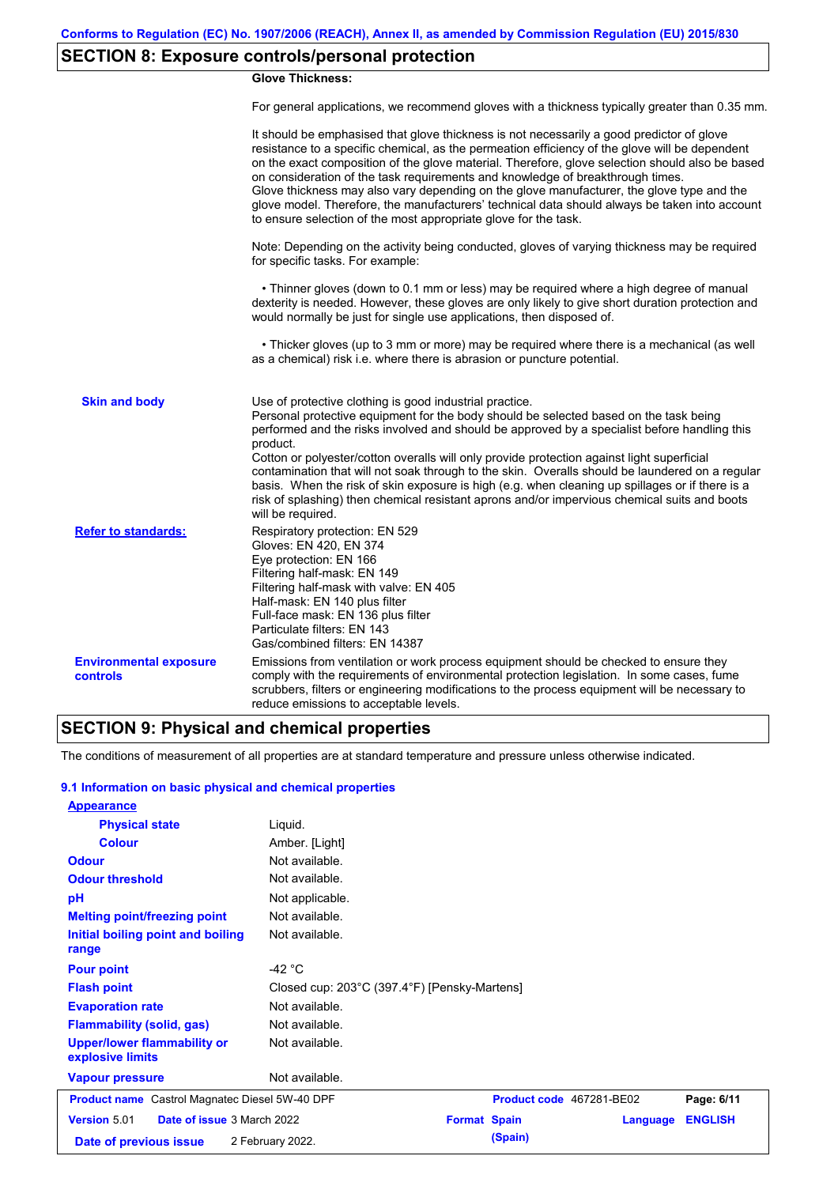## **SECTION 8: Exposure controls/personal protection**

#### **Glove Thickness:**

For general applications, we recommend gloves with a thickness typically greater than 0.35 mm.

|                                                  | It should be emphasised that glove thickness is not necessarily a good predictor of glove<br>resistance to a specific chemical, as the permeation efficiency of the glove will be dependent<br>on the exact composition of the glove material. Therefore, glove selection should also be based<br>on consideration of the task requirements and knowledge of breakthrough times.<br>Glove thickness may also vary depending on the glove manufacturer, the glove type and the<br>glove model. Therefore, the manufacturers' technical data should always be taken into account<br>to ensure selection of the most appropriate glove for the task.                                     |
|--------------------------------------------------|---------------------------------------------------------------------------------------------------------------------------------------------------------------------------------------------------------------------------------------------------------------------------------------------------------------------------------------------------------------------------------------------------------------------------------------------------------------------------------------------------------------------------------------------------------------------------------------------------------------------------------------------------------------------------------------|
|                                                  | Note: Depending on the activity being conducted, gloves of varying thickness may be required<br>for specific tasks. For example:                                                                                                                                                                                                                                                                                                                                                                                                                                                                                                                                                      |
|                                                  | • Thinner gloves (down to 0.1 mm or less) may be required where a high degree of manual<br>dexterity is needed. However, these gloves are only likely to give short duration protection and<br>would normally be just for single use applications, then disposed of.                                                                                                                                                                                                                                                                                                                                                                                                                  |
|                                                  | • Thicker gloves (up to 3 mm or more) may be required where there is a mechanical (as well<br>as a chemical) risk i.e. where there is abrasion or puncture potential.                                                                                                                                                                                                                                                                                                                                                                                                                                                                                                                 |
| <b>Skin and body</b>                             | Use of protective clothing is good industrial practice.<br>Personal protective equipment for the body should be selected based on the task being<br>performed and the risks involved and should be approved by a specialist before handling this<br>product.<br>Cotton or polyester/cotton overalls will only provide protection against light superficial<br>contamination that will not soak through to the skin. Overalls should be laundered on a regular<br>basis. When the risk of skin exposure is high (e.g. when cleaning up spillages or if there is a<br>risk of splashing) then chemical resistant aprons and/or impervious chemical suits and boots<br>will be required. |
| <b>Refer to standards:</b>                       | Respiratory protection: EN 529<br>Gloves: EN 420, EN 374<br>Eye protection: EN 166<br>Filtering half-mask: EN 149<br>Filtering half-mask with valve: EN 405<br>Half-mask: EN 140 plus filter<br>Full-face mask: EN 136 plus filter<br>Particulate filters: EN 143<br>Gas/combined filters: EN 14387                                                                                                                                                                                                                                                                                                                                                                                   |
| <b>Environmental exposure</b><br><b>controls</b> | Emissions from ventilation or work process equipment should be checked to ensure they<br>comply with the requirements of environmental protection legislation. In some cases, fume<br>scrubbers, filters or engineering modifications to the process equipment will be necessary to<br>reduce emissions to acceptable levels.                                                                                                                                                                                                                                                                                                                                                         |

### **SECTION 9: Physical and chemical properties**

The conditions of measurement of all properties are at standard temperature and pressure unless otherwise indicated.

#### **9.1 Information on basic physical and chemical properties**

| <b>Appearance</b>                                      |                                              |                     |                          |          |                |
|--------------------------------------------------------|----------------------------------------------|---------------------|--------------------------|----------|----------------|
| <b>Physical state</b>                                  | Liquid.                                      |                     |                          |          |                |
| <b>Colour</b>                                          | Amber. [Light]                               |                     |                          |          |                |
| <b>Odour</b>                                           | Not available.                               |                     |                          |          |                |
| <b>Odour threshold</b>                                 | Not available.                               |                     |                          |          |                |
| pH                                                     | Not applicable.                              |                     |                          |          |                |
| <b>Melting point/freezing point</b>                    | Not available.                               |                     |                          |          |                |
| Initial boiling point and boiling<br>range             | Not available.                               |                     |                          |          |                |
| <b>Pour point</b>                                      | -42 $^{\circ}$ C                             |                     |                          |          |                |
| <b>Flash point</b>                                     | Closed cup: 203°C (397.4°F) [Pensky-Martens] |                     |                          |          |                |
| <b>Evaporation rate</b>                                | Not available.                               |                     |                          |          |                |
| <b>Flammability (solid, gas)</b>                       | Not available.                               |                     |                          |          |                |
| <b>Upper/lower flammability or</b><br>explosive limits | Not available.                               |                     |                          |          |                |
| <b>Vapour pressure</b>                                 | Not available.                               |                     |                          |          |                |
| <b>Product name</b> Castrol Magnatec Diesel 5W-40 DPF  |                                              |                     | Product code 467281-BE02 |          | Page: 6/11     |
| Version 5.01<br>Date of issue 3 March 2022             |                                              | <b>Format Spain</b> |                          | Language | <b>ENGLISH</b> |
| Date of previous issue                                 | 2 February 2022.                             |                     | (Spain)                  |          |                |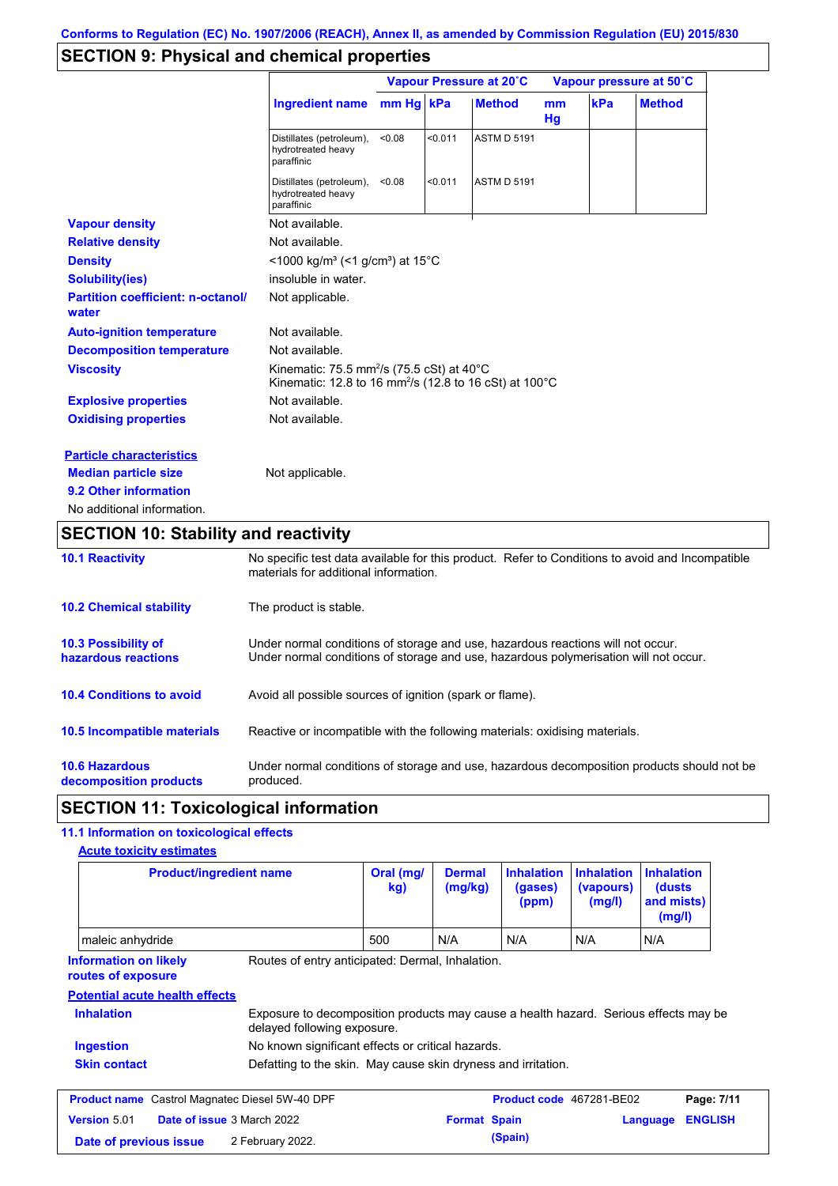## **SECTION 9: Physical and chemical properties**

|                                                   |                                                                                                                                        |           |         | Vapour Pressure at 20°C |                     |     | Vapour pressure at 50°C |
|---------------------------------------------------|----------------------------------------------------------------------------------------------------------------------------------------|-----------|---------|-------------------------|---------------------|-----|-------------------------|
|                                                   | <b>Ingredient name</b>                                                                                                                 | mm Hg kPa |         | <b>Method</b>           | <sub>mm</sub><br>Hg | kPa | <b>Method</b>           |
|                                                   | Distillates (petroleum),<br>hydrotreated heavy<br>paraffinic                                                                           | < 0.08    | < 0.011 | <b>ASTM D 5191</b>      |                     |     |                         |
|                                                   | Distillates (petroleum),<br>hydrotreated heavy<br>paraffinic                                                                           | < 0.08    | < 0.011 | <b>ASTM D 5191</b>      |                     |     |                         |
| <b>Vapour density</b>                             | Not available.                                                                                                                         |           |         |                         |                     |     |                         |
| <b>Relative density</b>                           | Not available.                                                                                                                         |           |         |                         |                     |     |                         |
| <b>Density</b>                                    | <1000 kg/m <sup>3</sup> (<1 g/cm <sup>3</sup> ) at 15°C                                                                                |           |         |                         |                     |     |                         |
| <b>Solubility(ies)</b>                            | insoluble in water.                                                                                                                    |           |         |                         |                     |     |                         |
| <b>Partition coefficient: n-octanol/</b><br>water | Not applicable.                                                                                                                        |           |         |                         |                     |     |                         |
| <b>Auto-ignition temperature</b>                  | Not available.                                                                                                                         |           |         |                         |                     |     |                         |
| <b>Decomposition temperature</b>                  | Not available.                                                                                                                         |           |         |                         |                     |     |                         |
| <b>Viscosity</b>                                  | Kinematic: 75.5 mm <sup>2</sup> /s (75.5 cSt) at 40 $^{\circ}$ C<br>Kinematic: 12.8 to 16 mm <sup>2</sup> /s (12.8 to 16 cSt) at 100°C |           |         |                         |                     |     |                         |
| <b>Explosive properties</b>                       | Not available.                                                                                                                         |           |         |                         |                     |     |                         |
| <b>Oxidising properties</b>                       | Not available.                                                                                                                         |           |         |                         |                     |     |                         |
| <b>Particle characteristics</b>                   |                                                                                                                                        |           |         |                         |                     |     |                         |
| <b>Median particle size</b>                       | Not applicable.                                                                                                                        |           |         |                         |                     |     |                         |
| 9.2 Other information                             |                                                                                                                                        |           |         |                         |                     |     |                         |
| No additional information.                        |                                                                                                                                        |           |         |                         |                     |     |                         |

## **SECTION 10: Stability and reactivity**

| <b>10.1 Reactivity</b>                          | No specific test data available for this product. Refer to Conditions to avoid and Incompatible<br>materials for additional information.                                |
|-------------------------------------------------|-------------------------------------------------------------------------------------------------------------------------------------------------------------------------|
| <b>10.2 Chemical stability</b>                  | The product is stable.                                                                                                                                                  |
| 10.3 Possibility of<br>hazardous reactions      | Under normal conditions of storage and use, hazardous reactions will not occur.<br>Under normal conditions of storage and use, hazardous polymerisation will not occur. |
| <b>10.4 Conditions to avoid</b>                 | Avoid all possible sources of ignition (spark or flame).                                                                                                                |
| 10.5 Incompatible materials                     | Reactive or incompatible with the following materials: oxidising materials.                                                                                             |
| <b>10.6 Hazardous</b><br>decomposition products | Under normal conditions of storage and use, hazardous decomposition products should not be<br>produced.                                                                 |

### **SECTION 11: Toxicological information**

### **11.1 Information on toxicological effects**

| <b>Acute toxicity estimates</b>                       |                                                                                                                     |                  |                          |                                       |                                          |                                                      |                |
|-------------------------------------------------------|---------------------------------------------------------------------------------------------------------------------|------------------|--------------------------|---------------------------------------|------------------------------------------|------------------------------------------------------|----------------|
|                                                       | <b>Product/ingredient name</b>                                                                                      | Oral (mg/<br>kg) | <b>Dermal</b><br>(mg/kg) | <b>Inhalation</b><br>(gases)<br>(ppm) | <b>Inhalation</b><br>(vapours)<br>(mg/l) | <b>Inhalation</b><br>(dusts)<br>and mists)<br>(mg/l) |                |
| maleic anhydride                                      |                                                                                                                     | 500              | N/A                      | N/A                                   | N/A                                      | N/A                                                  |                |
| <b>Information on likely</b><br>routes of exposure    | Routes of entry anticipated: Dermal, Inhalation.                                                                    |                  |                          |                                       |                                          |                                                      |                |
| <b>Potential acute health effects</b>                 |                                                                                                                     |                  |                          |                                       |                                          |                                                      |                |
| <b>Inhalation</b>                                     | Exposure to decomposition products may cause a health hazard. Serious effects may be<br>delayed following exposure. |                  |                          |                                       |                                          |                                                      |                |
| Ingestion                                             | No known significant effects or critical hazards.                                                                   |                  |                          |                                       |                                          |                                                      |                |
| <b>Skin contact</b>                                   | Defatting to the skin. May cause skin dryness and irritation.                                                       |                  |                          |                                       |                                          |                                                      |                |
| <b>Product name</b> Castrol Magnatec Diesel 5W-40 DPF |                                                                                                                     |                  |                          | Product code 467281-BE02              |                                          |                                                      | Page: 7/11     |
| Version 5.01                                          | Date of issue 3 March 2022                                                                                          |                  | <b>Format Spain</b>      |                                       |                                          | Language                                             | <b>ENGLISH</b> |
| Date of previous issue                                | 2 February 2022.                                                                                                    |                  |                          | (Spain)                               |                                          |                                                      |                |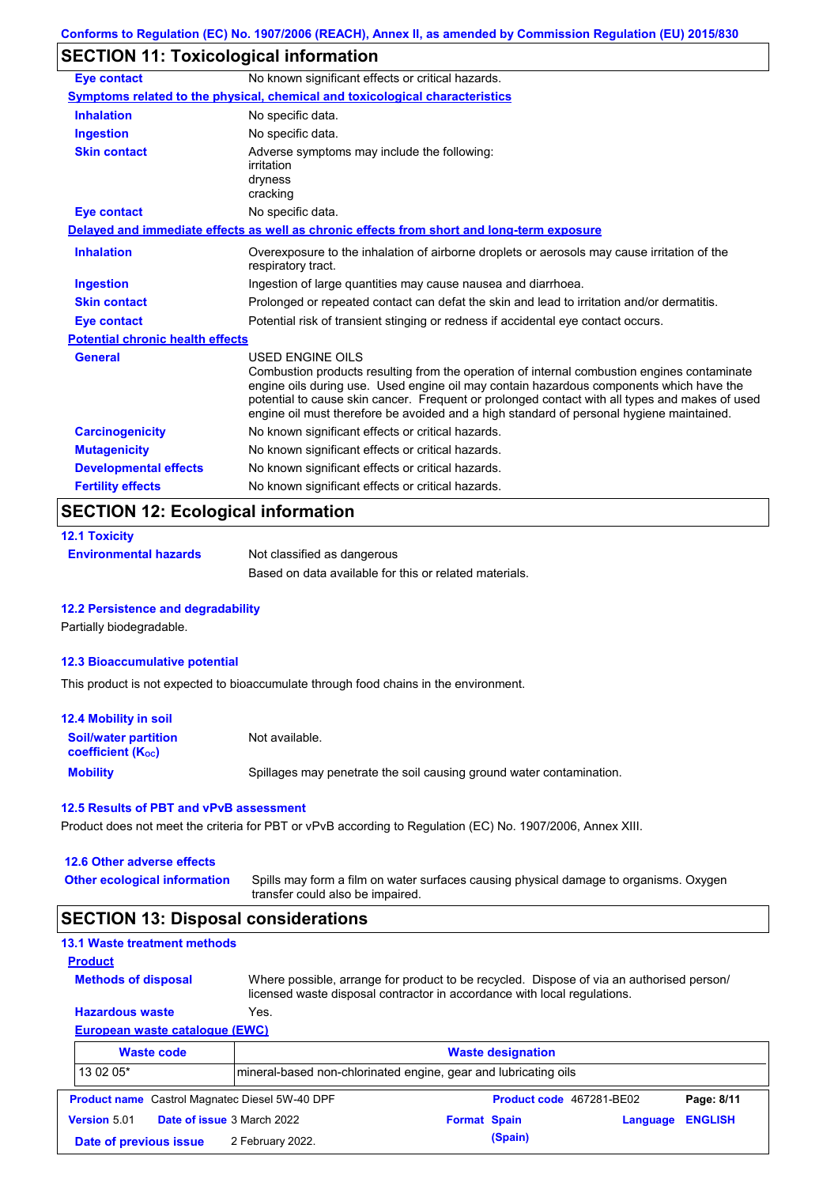## **SECTION 11: Toxicological information**

| <b>Eye contact</b>                      | No known significant effects or critical hazards.                                                                                                                                                                                                                                                                                                                                                               |
|-----------------------------------------|-----------------------------------------------------------------------------------------------------------------------------------------------------------------------------------------------------------------------------------------------------------------------------------------------------------------------------------------------------------------------------------------------------------------|
|                                         | Symptoms related to the physical, chemical and toxicological characteristics                                                                                                                                                                                                                                                                                                                                    |
| <b>Inhalation</b>                       | No specific data.                                                                                                                                                                                                                                                                                                                                                                                               |
| <b>Ingestion</b>                        | No specific data.                                                                                                                                                                                                                                                                                                                                                                                               |
| <b>Skin contact</b>                     | Adverse symptoms may include the following:<br>irritation<br>dryness<br>cracking                                                                                                                                                                                                                                                                                                                                |
| <b>Eye contact</b>                      | No specific data.                                                                                                                                                                                                                                                                                                                                                                                               |
|                                         | Delayed and immediate effects as well as chronic effects from short and long-term exposure                                                                                                                                                                                                                                                                                                                      |
| <b>Inhalation</b>                       | Overexposure to the inhalation of airborne droplets or aerosols may cause irritation of the<br>respiratory tract.                                                                                                                                                                                                                                                                                               |
| <b>Ingestion</b>                        | Ingestion of large quantities may cause nausea and diarrhoea.                                                                                                                                                                                                                                                                                                                                                   |
| <b>Skin contact</b>                     | Prolonged or repeated contact can defat the skin and lead to irritation and/or dermatitis.                                                                                                                                                                                                                                                                                                                      |
| <b>Eye contact</b>                      | Potential risk of transient stinging or redness if accidental eye contact occurs.                                                                                                                                                                                                                                                                                                                               |
| <b>Potential chronic health effects</b> |                                                                                                                                                                                                                                                                                                                                                                                                                 |
| <b>General</b>                          | <b>USED ENGINE OILS</b><br>Combustion products resulting from the operation of internal combustion engines contaminate<br>engine oils during use. Used engine oil may contain hazardous components which have the<br>potential to cause skin cancer. Frequent or prolonged contact with all types and makes of used<br>engine oil must therefore be avoided and a high standard of personal hygiene maintained. |
| <b>Carcinogenicity</b>                  | No known significant effects or critical hazards.                                                                                                                                                                                                                                                                                                                                                               |
| <b>Mutagenicity</b>                     | No known significant effects or critical hazards.                                                                                                                                                                                                                                                                                                                                                               |
| <b>Developmental effects</b>            | No known significant effects or critical hazards.                                                                                                                                                                                                                                                                                                                                                               |
| <b>Fertility effects</b>                | No known significant effects or critical hazards.                                                                                                                                                                                                                                                                                                                                                               |

### **12.1 Toxicity Environmental hazards** Not classified as dangerous Based on data available for this or related materials.

#### **12.2 Persistence and degradability**

Partially biodegradable.

#### **12.3 Bioaccumulative potential**

This product is not expected to bioaccumulate through food chains in the environment.

| 12.4 Mobility in soil                                         |                                                                      |
|---------------------------------------------------------------|----------------------------------------------------------------------|
| <b>Soil/water partition</b><br>coefficient (K <sub>oc</sub> ) | Not available.                                                       |
| <b>Mobility</b>                                               | Spillages may penetrate the soil causing ground water contamination. |

#### **12.5 Results of PBT and vPvB assessment**

Product does not meet the criteria for PBT or vPvB according to Regulation (EC) No. 1907/2006, Annex XIII.

#### **12.6 Other adverse effects**

Spills may form a film on water surfaces causing physical damage to organisms. Oxygen transfer could also be impaired. **Other ecological information**

### **SECTION 13: Disposal considerations**

| 13.1 Waste treatment methods                          |                                                                 |                                                                                                                                                                      |            |
|-------------------------------------------------------|-----------------------------------------------------------------|----------------------------------------------------------------------------------------------------------------------------------------------------------------------|------------|
| <b>Product</b>                                        |                                                                 |                                                                                                                                                                      |            |
| <b>Methods of disposal</b>                            |                                                                 | Where possible, arrange for product to be recycled. Dispose of via an authorised person/<br>licensed waste disposal contractor in accordance with local regulations. |            |
| <b>Hazardous waste</b>                                | Yes.                                                            |                                                                                                                                                                      |            |
| European waste catalogue (EWC)                        |                                                                 |                                                                                                                                                                      |            |
| <b>Waste code</b>                                     |                                                                 | <b>Waste designation</b>                                                                                                                                             |            |
| 13 02 05*                                             | mineral-based non-chlorinated engine, gear and lubricating oils |                                                                                                                                                                      |            |
| <b>Product name</b> Castrol Magnatec Diesel 5W-40 DPF |                                                                 | Product code 467281-BE02                                                                                                                                             | Page: 8/11 |
|                                                       |                                                                 |                                                                                                                                                                      |            |

|                        |                                   |                     | ------------            |
|------------------------|-----------------------------------|---------------------|-------------------------|
| <b>Version 5.01</b>    | <b>Date of issue</b> 3 March 2022 | <b>Format Spain</b> | <b>Language ENGLISH</b> |
| Date of previous issue | 2 February 2022.                  | (Spain)             |                         |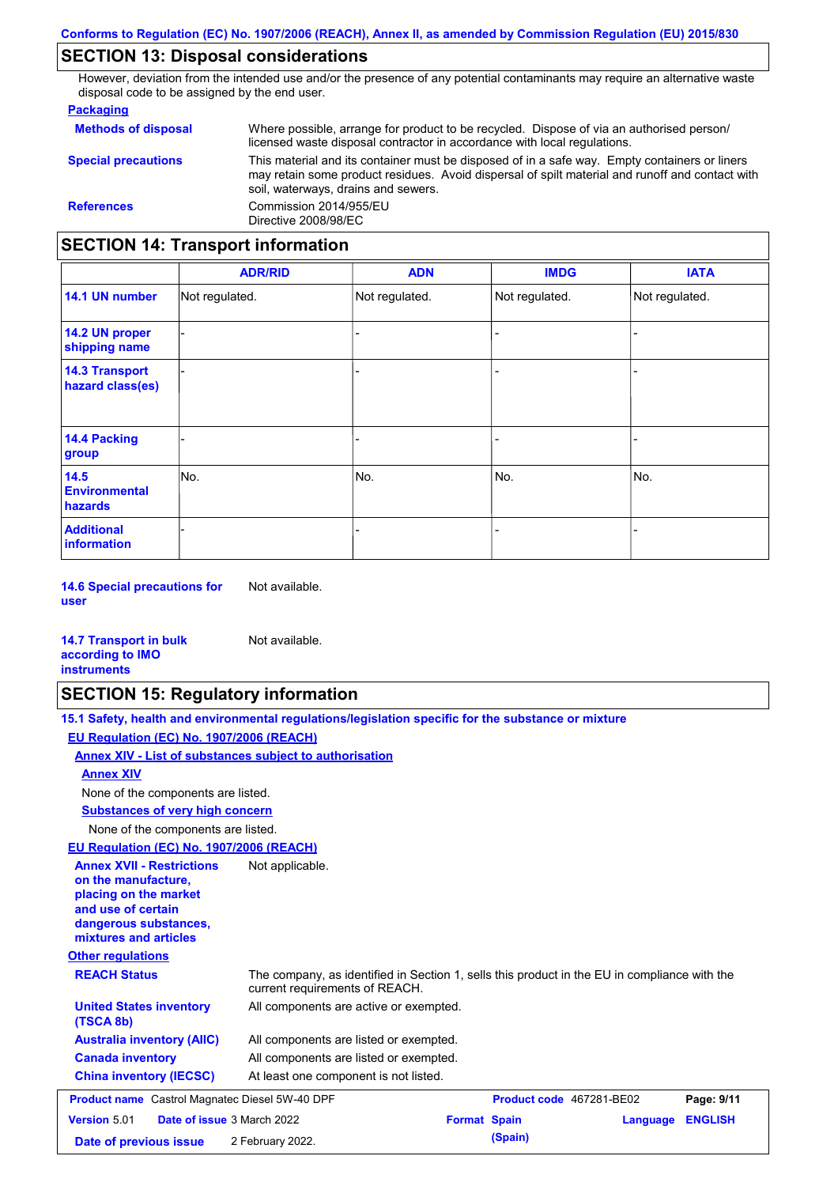## **SECTION 13: Disposal considerations**

However, deviation from the intended use and/or the presence of any potential contaminants may require an alternative waste disposal code to be assigned by the end user.

#### **Packaging**

| <b>Methods of disposal</b>               | Where possible, arrange for product to be recycled. Dispose of via an authorised person/<br>licensed waste disposal contractor in accordance with local regulations.                                                                    |  |  |  |
|------------------------------------------|-----------------------------------------------------------------------------------------------------------------------------------------------------------------------------------------------------------------------------------------|--|--|--|
| <b>Special precautions</b>               | This material and its container must be disposed of in a safe way. Empty containers or liners<br>may retain some product residues. Avoid dispersal of spilt material and runoff and contact with<br>soil, waterways, drains and sewers. |  |  |  |
| <b>References</b>                        | Commission 2014/955/EU<br>Directive 2008/98/EC                                                                                                                                                                                          |  |  |  |
| <b>SECTION 14: Transport information</b> |                                                                                                                                                                                                                                         |  |  |  |

#### - - - - - - - - - Not regulated. Not regulated. Not regulated. - - - **ADR/RID IMDG IATA 14.1 UN number 14.2 UN proper shipping name 14.3 Transport hazard class(es) 14.4 Packing group ADN Additional information 14.5 Environmental hazards** No. 1980 | No. 1980 | No. 1980 | No. 1980 | No. 1980 | No. 1980 | No. 1980 | No. 1980 | No. 1980 | No. 1980 | Not regulated. - No. - -

**14.6 Special precautions for user** Not available.

#### **14.7 Transport in bulk according to IMO instruments**

### **SECTION 15: Regulatory information**

Not available.

| 15.1 Safety, health and environmental regulations/legislation specific for the substance or mixture |
|-----------------------------------------------------------------------------------------------------|
| EU Regulation (EC) No. 1907/2006 (REACH)                                                            |
| Annex XIV - List of substances subject to authorisation                                             |
| <b>Annex XIV</b>                                                                                    |

None of the components are listed.

**Substances of very high concern**

None of the components are listed.

**EU Regulation (EC) No. 1907/2006 (REACH)**

| EU Requiation (EC) No. 1907/2006 (REACH)                                                                                                                                             |                                                                                              |                                 |          |                |
|--------------------------------------------------------------------------------------------------------------------------------------------------------------------------------------|----------------------------------------------------------------------------------------------|---------------------------------|----------|----------------|
| <b>Annex XVII - Restrictions</b><br>on the manufacture,<br>placing on the market<br>and use of certain<br>dangerous substances,<br>mixtures and articles<br><b>Other regulations</b> | Not applicable.                                                                              |                                 |          |                |
| <b>REACH Status</b>                                                                                                                                                                  | The company, as identified in Section 1, sells this product in the EU in compliance with the |                                 |          |                |
|                                                                                                                                                                                      | current requirements of REACH.                                                               |                                 |          |                |
| <b>United States inventory</b><br>(TSCA 8b)                                                                                                                                          | All components are active or exempted.                                                       |                                 |          |                |
| <b>Australia inventory (AIIC)</b>                                                                                                                                                    | All components are listed or exempted.                                                       |                                 |          |                |
| <b>Canada inventory</b>                                                                                                                                                              | All components are listed or exempted.                                                       |                                 |          |                |
| <b>China inventory (IECSC)</b>                                                                                                                                                       | At least one component is not listed.                                                        |                                 |          |                |
| <b>Product name</b> Castrol Magnatec Diesel 5W-40 DPF                                                                                                                                |                                                                                              | <b>Product code</b> 467281-BE02 |          | Page: 9/11     |
| Version 5.01                                                                                                                                                                         | <b>Date of issue 3 March 2022</b>                                                            | <b>Format Spain</b>             | Language | <b>ENGLISH</b> |
| Date of previous issue                                                                                                                                                               | 2 February 2022.                                                                             | (Spain)                         |          |                |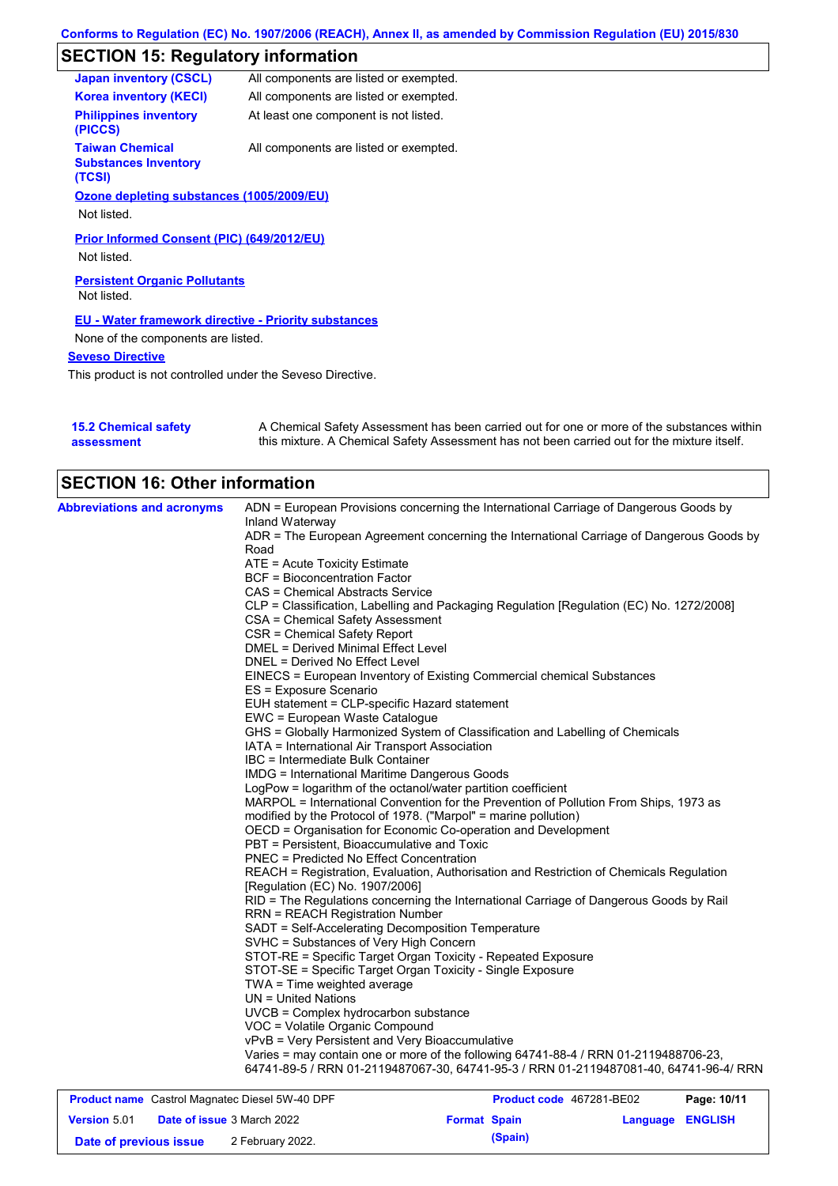# **SECTION 15: Regulatory information**

| <b>Japan inventory (CSCL)</b>                                   | All components are listed or exempted. |
|-----------------------------------------------------------------|----------------------------------------|
| <b>Korea inventory (KECI)</b>                                   | All components are listed or exempted. |
| <b>Philippines inventory</b><br>(PICCS)                         | At least one component is not listed.  |
| <b>Taiwan Chemical</b><br><b>Substances Inventory</b><br>(TCSI) | All components are listed or exempted. |
| Ozone depleting substances (1005/2009/EU)                       |                                        |
| Not listed.                                                     |                                        |
| Prior Informed Consent (PIC) (649/2012/EU)                      |                                        |
| Not listed.                                                     |                                        |
| <b>Persistent Organic Pollutants</b><br>Not listed.             |                                        |
| <b>EU - Water framework directive - Priority substances</b>     |                                        |
| None of the components are listed.                              |                                        |
| <b>Seveso Directive</b>                                         |                                        |
|                                                                 |                                        |

This product is not controlled under the Seveso Directive.

| 15.2 Chemical safety | A Chemical Safety Assessment has been carried out for one or more of the substances within  |
|----------------------|---------------------------------------------------------------------------------------------|
| assessment           | this mixture. A Chemical Safety Assessment has not been carried out for the mixture itself. |

| <b>SECTION 16: Other information</b> |                                                                                                                            |
|--------------------------------------|----------------------------------------------------------------------------------------------------------------------------|
| <b>Abbreviations and acronyms</b>    | ADN = European Provisions concerning the International Carriage of Dangerous Goods by                                      |
|                                      | Inland Waterway                                                                                                            |
|                                      | ADR = The European Agreement concerning the International Carriage of Dangerous Goods by                                   |
|                                      | Road                                                                                                                       |
|                                      | ATE = Acute Toxicity Estimate                                                                                              |
|                                      | <b>BCF = Bioconcentration Factor</b>                                                                                       |
|                                      | <b>CAS = Chemical Abstracts Service</b>                                                                                    |
|                                      | CLP = Classification, Labelling and Packaging Regulation [Regulation (EC) No. 1272/2008]                                   |
|                                      | CSA = Chemical Safety Assessment                                                                                           |
|                                      | <b>CSR = Chemical Safety Report</b>                                                                                        |
|                                      | DMEL = Derived Minimal Effect Level                                                                                        |
|                                      | DNEL = Derived No Effect Level                                                                                             |
|                                      | EINECS = European Inventory of Existing Commercial chemical Substances                                                     |
|                                      | ES = Exposure Scenario                                                                                                     |
|                                      | EUH statement = CLP-specific Hazard statement                                                                              |
|                                      | EWC = European Waste Catalogue                                                                                             |
|                                      | GHS = Globally Harmonized System of Classification and Labelling of Chemicals                                              |
|                                      | IATA = International Air Transport Association                                                                             |
|                                      | IBC = Intermediate Bulk Container                                                                                          |
|                                      | <b>IMDG</b> = International Maritime Dangerous Goods                                                                       |
|                                      | LogPow = logarithm of the octanol/water partition coefficient                                                              |
|                                      | MARPOL = International Convention for the Prevention of Pollution From Ships, 1973 as                                      |
|                                      | modified by the Protocol of 1978. ("Marpol" = marine pollution)                                                            |
|                                      | OECD = Organisation for Economic Co-operation and Development                                                              |
|                                      | PBT = Persistent, Bioaccumulative and Toxic                                                                                |
|                                      | <b>PNEC = Predicted No Effect Concentration</b>                                                                            |
|                                      | REACH = Registration, Evaluation, Authorisation and Restriction of Chemicals Regulation<br>[Regulation (EC) No. 1907/2006] |
|                                      | RID = The Regulations concerning the International Carriage of Dangerous Goods by Rail                                     |
|                                      | <b>RRN = REACH Registration Number</b>                                                                                     |
|                                      | SADT = Self-Accelerating Decomposition Temperature                                                                         |
|                                      | SVHC = Substances of Very High Concern                                                                                     |
|                                      | STOT-RE = Specific Target Organ Toxicity - Repeated Exposure                                                               |
|                                      | STOT-SE = Specific Target Organ Toxicity - Single Exposure                                                                 |
|                                      |                                                                                                                            |
|                                      | TWA = Time weighted average                                                                                                |
|                                      | $UN = United Nations$                                                                                                      |
|                                      | UVCB = Complex hydrocarbon substance                                                                                       |
|                                      | VOC = Volatile Organic Compound                                                                                            |
|                                      | vPvB = Very Persistent and Very Bioaccumulative                                                                            |
|                                      | Varies = may contain one or more of the following 64741-88-4 / RRN 01-2119488706-23,                                       |
|                                      | 64741-89-5 / RRN 01-2119487067-30, 64741-95-3 / RRN 01-2119487081-40, 64741-96-4/ RRN                                      |

| <b>Product name</b> Castrol Magnatec Diesel 5W-40 DPF |  | <b>Product code</b> 467281-BE02   |                     | Page: 10/11 |                         |  |
|-------------------------------------------------------|--|-----------------------------------|---------------------|-------------|-------------------------|--|
| <b>Version 5.01</b>                                   |  | <b>Date of issue 3 March 2022</b> | <b>Format Spain</b> |             | <b>Language ENGLISH</b> |  |
| Date of previous issue                                |  | 2 February 2022.                  |                     | (Spain)     |                         |  |